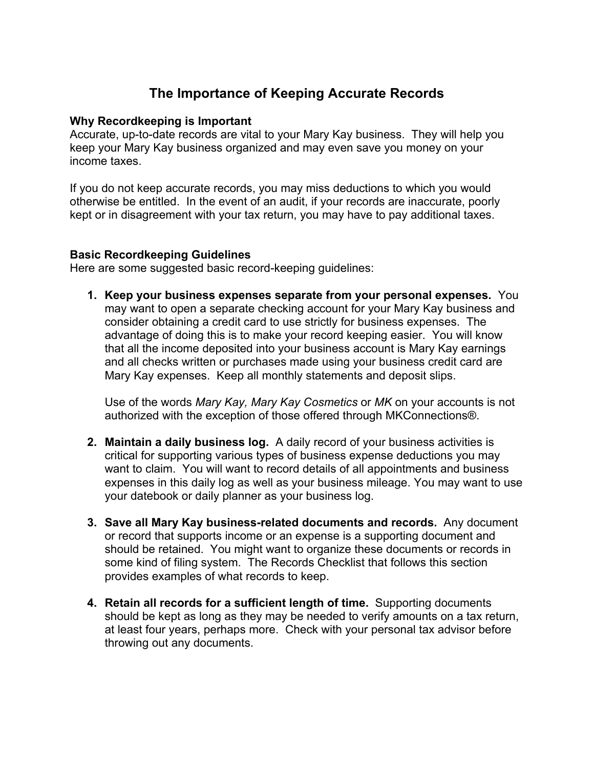# **The Importance of Keeping Accurate Records**

### **Why Recordkeeping is Important**

Accurate, up-to-date records are vital to your Mary Kay business. They will help you keep your Mary Kay business organized and may even save you money on your income taxes.

If you do not keep accurate records, you may miss deductions to which you would otherwise be entitled. In the event of an audit, if your records are inaccurate, poorly kept or in disagreement with your tax return, you may have to pay additional taxes.

### **Basic Recordkeeping Guidelines**

Here are some suggested basic record-keeping guidelines:

**1. Keep your business expenses separate from your personal expenses.** You may want to open a separate checking account for your Mary Kay business and consider obtaining a credit card to use strictly for business expenses. The advantage of doing this is to make your record keeping easier. You will know that all the income deposited into your business account is Mary Kay earnings and all checks written or purchases made using your business credit card are Mary Kay expenses. Keep all monthly statements and deposit slips.

Use of the words *Mary Kay, Mary Kay Cosmetics* or *MK* on your accounts is not authorized with the exception of those offered through MKConnections®.

- **2. Maintain a daily business log.** A daily record of your business activities is critical for supporting various types of business expense deductions you may want to claim. You will want to record details of all appointments and business expenses in this daily log as well as your business mileage. You may want to use your datebook or daily planner as your business log.
- **3. Save all Mary Kay business-related documents and records.** Any document or record that supports income or an expense is a supporting document and should be retained. You might want to organize these documents or records in some kind of filing system. The Records Checklist that follows this section provides examples of what records to keep.
- **4. Retain all records for a sufficient length of time.** Supporting documents should be kept as long as they may be needed to verify amounts on a tax return, at least four years, perhaps more. Check with your personal tax advisor before throwing out any documents.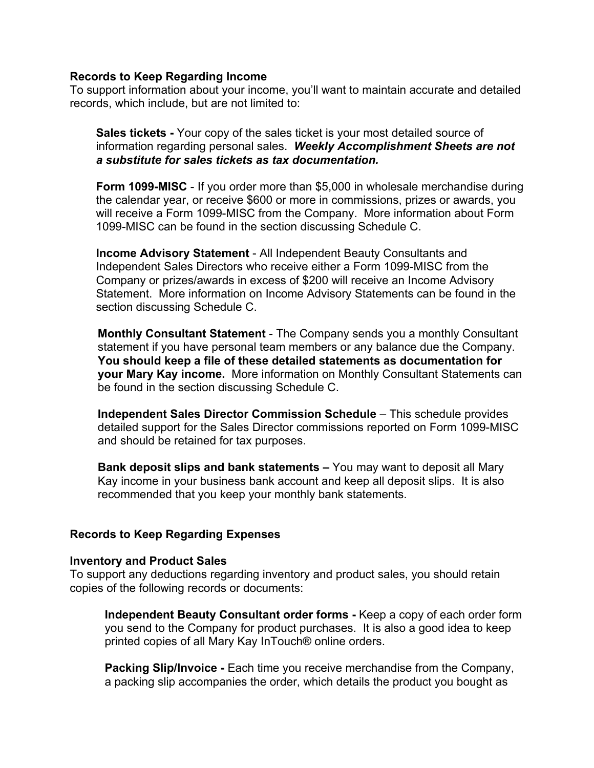#### **Records to Keep Regarding Income**

To support information about your income, you'll want to maintain accurate and detailed records, which include, but are not limited to:

**Sales tickets -** Your copy of the sales ticket is your most detailed source of information regarding personal sales. *Weekly Accomplishment Sheets are not a substitute for sales tickets as tax documentation.*

**Form 1099-MISC** - If you order more than \$5,000 in wholesale merchandise during the calendar year, or receive \$600 or more in commissions, prizes or awards, you will receive a Form 1099-MISC from the Company. More information about Form 1099-MISC can be found in the section discussing Schedule C.

**Income Advisory Statement** - All Independent Beauty Consultants and Independent Sales Directors who receive either a Form 1099-MISC from the Company or prizes/awards in excess of \$200 will receive an Income Advisory Statement. More information on Income Advisory Statements can be found in the section discussing Schedule C.

**Monthly Consultant Statement** - The Company sends you a monthly Consultant statement if you have personal team members or any balance due the Company. **You should keep a file of these detailed statements as documentation for your Mary Kay income.** More information on Monthly Consultant Statements can be found in the section discussing Schedule C.

**Independent Sales Director Commission Schedule** – This schedule provides detailed support for the Sales Director commissions reported on Form 1099-MISC and should be retained for tax purposes.

**Bank deposit slips and bank statements –** You may want to deposit all Mary Kay income in your business bank account and keep all deposit slips. It is also recommended that you keep your monthly bank statements.

# **Records to Keep Regarding Expenses**

#### **Inventory and Product Sales**

To support any deductions regarding inventory and product sales, you should retain copies of the following records or documents:

**Independent Beauty Consultant order forms -** Keep a copy of each order form you send to the Company for product purchases. It is also a good idea to keep printed copies of all Mary Kay InTouch® online orders.

**Packing Slip/Invoice -** Each time you receive merchandise from the Company, a packing slip accompanies the order, which details the product you bought as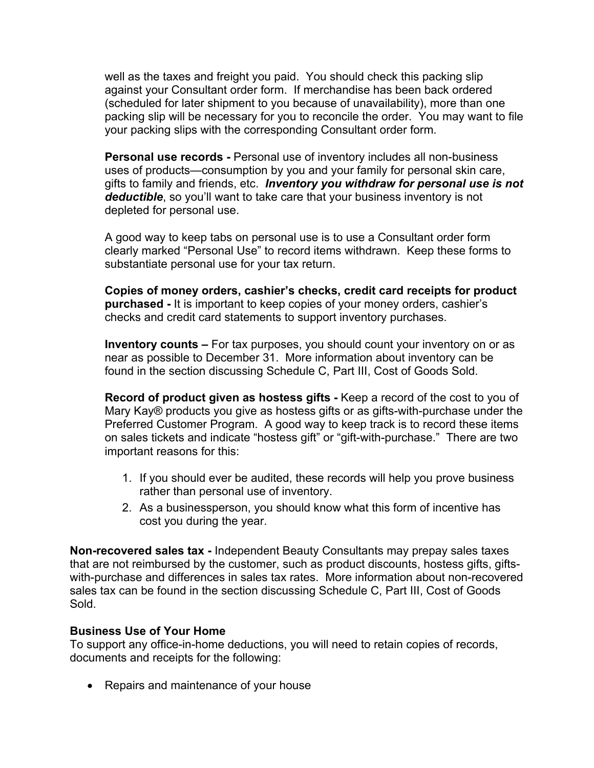well as the taxes and freight you paid. You should check this packing slip against your Consultant order form. If merchandise has been back ordered (scheduled for later shipment to you because of unavailability), more than one packing slip will be necessary for you to reconcile the order. You may want to file your packing slips with the corresponding Consultant order form.

**Personal use records -** Personal use of inventory includes all non-business uses of products—consumption by you and your family for personal skin care, gifts to family and friends, etc. *Inventory you withdraw for personal use is not deductible*, so you'll want to take care that your business inventory is not depleted for personal use.

A good way to keep tabs on personal use is to use a Consultant order form clearly marked "Personal Use" to record items withdrawn. Keep these forms to substantiate personal use for your tax return.

**Copies of money orders, cashier's checks, credit card receipts for product purchased -** It is important to keep copies of your money orders, cashier's checks and credit card statements to support inventory purchases.

**Inventory counts –** For tax purposes, you should count your inventory on or as near as possible to December 31. More information about inventory can be found in the section discussing Schedule C, Part III, Cost of Goods Sold.

**Record of product given as hostess gifts -** Keep a record of the cost to you of Mary Kay® products you give as hostess gifts or as gifts-with-purchase under the Preferred Customer Program. A good way to keep track is to record these items on sales tickets and indicate "hostess gift" or "gift-with-purchase." There are two important reasons for this:

- 1. If you should ever be audited, these records will help you prove business rather than personal use of inventory.
- 2. As a businessperson, you should know what this form of incentive has cost you during the year.

**Non-recovered sales tax -** Independent Beauty Consultants may prepay sales taxes that are not reimbursed by the customer, such as product discounts, hostess gifts, giftswith-purchase and differences in sales tax rates. More information about non-recovered sales tax can be found in the section discussing Schedule C, Part III, Cost of Goods Sold.

# **Business Use of Your Home**

To support any office-in-home deductions, you will need to retain copies of records, documents and receipts for the following:

• Repairs and maintenance of your house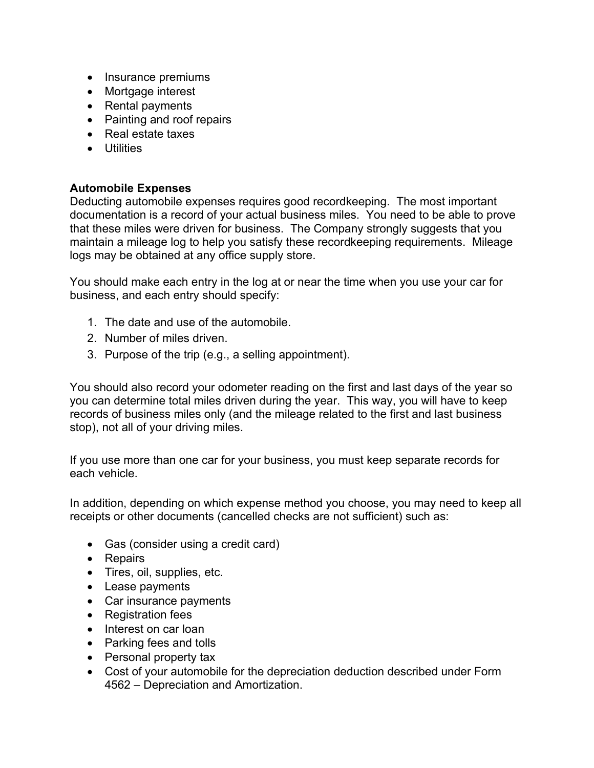- Insurance premiums
- Mortgage interest
- Rental payments
- Painting and roof repairs
- Real estate taxes
- Utilities

# **Automobile Expenses**

Deducting automobile expenses requires good recordkeeping. The most important documentation is a record of your actual business miles. You need to be able to prove that these miles were driven for business. The Company strongly suggests that you maintain a mileage log to help you satisfy these recordkeeping requirements. Mileage logs may be obtained at any office supply store.

You should make each entry in the log at or near the time when you use your car for business, and each entry should specify:

- 1. The date and use of the automobile.
- 2. Number of miles driven.
- 3. Purpose of the trip (e.g., a selling appointment).

You should also record your odometer reading on the first and last days of the year so you can determine total miles driven during the year. This way, you will have to keep records of business miles only (and the mileage related to the first and last business stop), not all of your driving miles.

If you use more than one car for your business, you must keep separate records for each vehicle.

In addition, depending on which expense method you choose, you may need to keep all receipts or other documents (cancelled checks are not sufficient) such as:

- Gas (consider using a credit card)
- Repairs
- Tires, oil, supplies, etc.
- Lease payments
- Car insurance payments
- Registration fees
- Interest on car loan
- Parking fees and tolls
- Personal property tax
- Cost of your automobile for the depreciation deduction described under Form 4562 – Depreciation and Amortization.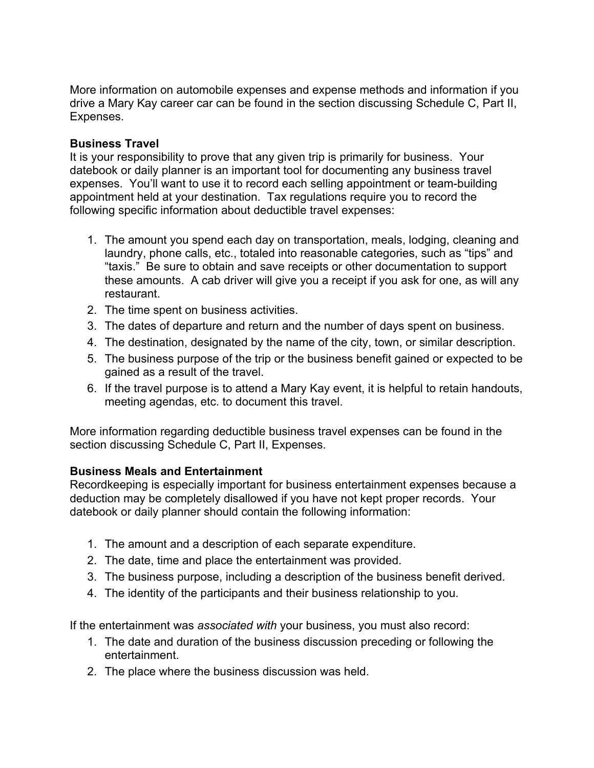More information on automobile expenses and expense methods and information if you drive a Mary Kay career car can be found in the section discussing Schedule C, Part II, Expenses.

# **Business Travel**

It is your responsibility to prove that any given trip is primarily for business. Your datebook or daily planner is an important tool for documenting any business travel expenses. You'll want to use it to record each selling appointment or team-building appointment held at your destination. Tax regulations require you to record the following specific information about deductible travel expenses:

- 1. The amount you spend each day on transportation, meals, lodging, cleaning and laundry, phone calls, etc., totaled into reasonable categories, such as "tips" and "taxis." Be sure to obtain and save receipts or other documentation to support these amounts. A cab driver will give you a receipt if you ask for one, as will any restaurant.
- 2. The time spent on business activities.
- 3. The dates of departure and return and the number of days spent on business.
- 4. The destination, designated by the name of the city, town, or similar description.
- 5. The business purpose of the trip or the business benefit gained or expected to be gained as a result of the travel.
- 6. If the travel purpose is to attend a Mary Kay event, it is helpful to retain handouts, meeting agendas, etc. to document this travel.

More information regarding deductible business travel expenses can be found in the section discussing Schedule C, Part II, Expenses.

**Business Meals and Entertainment**<br>Recordkeeping is especially important for business entertainment expenses because a deduction may be completely disallowed if you have not kept proper records. Your datebook or daily planner should contain the following information:

- 1. The amount and a description of each separate expenditure.
- 2. The date, time and place the entertainment was provided.
- 3. The business purpose, including a description of the business benefit derived.
- 4. The identity of the participants and their business relationship to you.

If the entertainment was *associated with* your business, you must also record:

- 1. The date and duration of the business discussion preceding or following the entertainment.
- 2. The place where the business discussion was held.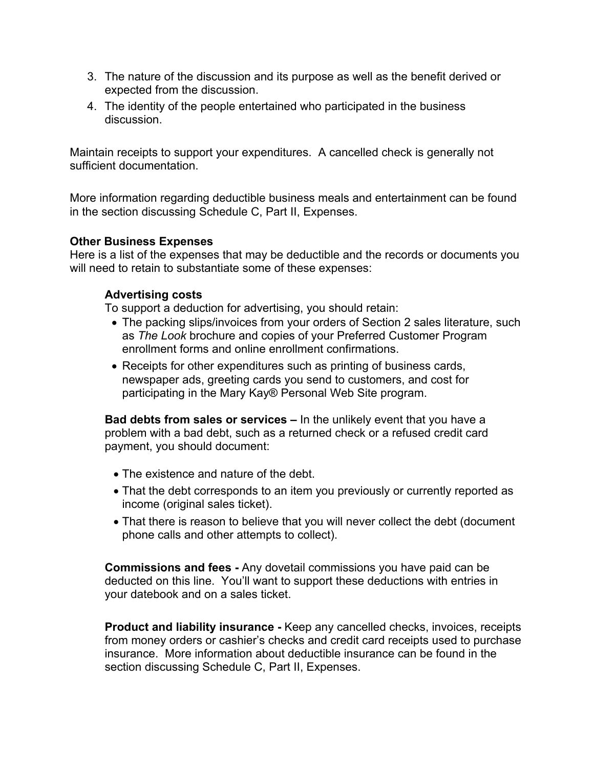- 3. The nature of the discussion and its purpose as well as the benefit derived or expected from the discussion.
- 4. The identity of the people entertained who participated in the business discussion.

Maintain receipts to support your expenditures. A cancelled check is generally not sufficient documentation.

More information regarding deductible business meals and entertainment can be found in the section discussing Schedule C, Part II, Expenses.

### **Other Business Expenses**

Here is a list of the expenses that may be deductible and the records or documents you will need to retain to substantiate some of these expenses:

# **Advertising costs**

To support a deduction for advertising, you should retain:

- The packing slips/invoices from your orders of Section 2 sales literature, such as *The Look* brochure and copies of your Preferred Customer Program enrollment forms and online enrollment confirmations.
- Receipts for other expenditures such as printing of business cards, newspaper ads, greeting cards you send to customers, and cost for participating in the Mary Kay® Personal Web Site program.

**Bad debts from sales or services –** In the unlikely event that you have a problem with a bad debt, such as a returned check or a refused credit card payment, you should document:

- The existence and nature of the debt.
- That the debt corresponds to an item you previously or currently reported as income (original sales ticket).
- That there is reason to believe that you will never collect the debt (document phone calls and other attempts to collect).

**Commissions and fees -** Any dovetail commissions you have paid can be deducted on this line. You'll want to support these deductions with entries in your datebook and on a sales ticket.

**Product and liability insurance -** Keep any cancelled checks, invoices, receipts from money orders or cashier's checks and credit card receipts used to purchase insurance. More information about deductible insurance can be found in the section discussing Schedule C, Part II, Expenses.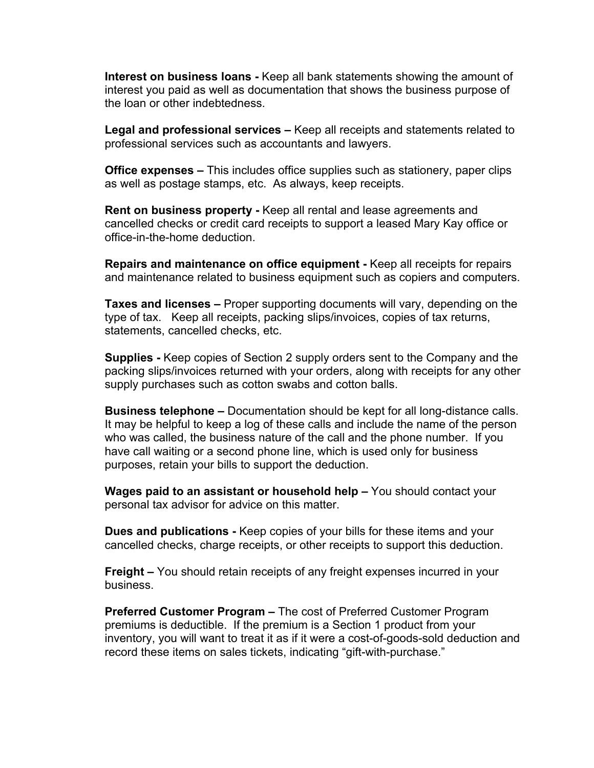**Interest on business loans -** Keep all bank statements showing the amount of interest you paid as well as documentation that shows the business purpose of the loan or other indebtedness.

**Legal and professional services –** Keep all receipts and statements related to professional services such as accountants and lawyers.

**Office expenses –** This includes office supplies such as stationery, paper clips as well as postage stamps, etc. As always, keep receipts.

**Rent on business property -** Keep all rental and lease agreements and cancelled checks or credit card receipts to support a leased Mary Kay office or office-in-the-home deduction.

**Repairs and maintenance on office equipment -** Keep all receipts for repairs and maintenance related to business equipment such as copiers and computers.

**Taxes and licenses –** Proper supporting documents will vary, depending on the type of tax. Keep all receipts, packing slips/invoices, copies of tax returns, statements, cancelled checks, etc.

**Supplies -** Keep copies of Section 2 supply orders sent to the Company and the packing slips/invoices returned with your orders, along with receipts for any other supply purchases such as cotton swabs and cotton balls.

**Business telephone –** Documentation should be kept for all long-distance calls. It may be helpful to keep a log of these calls and include the name of the person who was called, the business nature of the call and the phone number. If you have call waiting or a second phone line, which is used only for business purposes, retain your bills to support the deduction.

**Wages paid to an assistant or household help –** You should contact your personal tax advisor for advice on this matter.

**Dues and publications -** Keep copies of your bills for these items and your cancelled checks, charge receipts, or other receipts to support this deduction.

**Freight –** You should retain receipts of any freight expenses incurred in your business.

**Preferred Customer Program –** The cost of Preferred Customer Program premiums is deductible. If the premium is a Section 1 product from your inventory, you will want to treat it as if it were a cost-of-goods-sold deduction and record these items on sales tickets, indicating "gift-with-purchase."